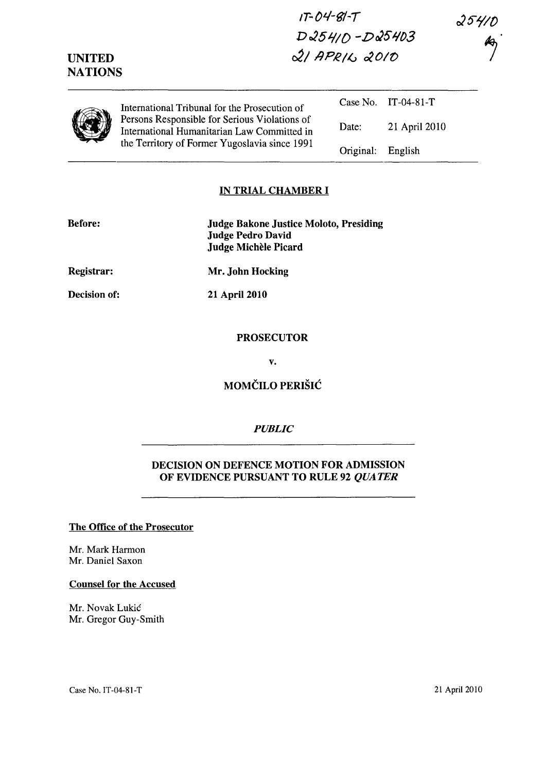*IT--* **Ol./-gj** -*T D025J.jID -DJ5t103 c2llJPRIG 0201t>* 

 $25410$ 

|  | International Tribunal for the Prosecution of<br>Persons Responsible for Serious Violations of<br>International Humanitarian Law Committed in<br>the Territory of Former Yugoslavia since 1991 |           | Case No. $IT-04-81-T$ |
|--|------------------------------------------------------------------------------------------------------------------------------------------------------------------------------------------------|-----------|-----------------------|
|  |                                                                                                                                                                                                | Date:     | 21 April 2010         |
|  |                                                                                                                                                                                                | Original: | English               |

### **IN TRIAL CHAMBER I**

| <b>Before:</b> | <b>Judge Bakone Justice Moloto, Presiding</b><br><b>Judge Pedro David</b><br>Judge Michèle Picard |
|----------------|---------------------------------------------------------------------------------------------------|
| Registrar:     | Mr. John Hocking                                                                                  |
| Decision of:   | <b>21 April 2010</b>                                                                              |
|                | <b>PROSECUTOR</b>                                                                                 |

**v.** 

**MOMČILO PERIŠIĆ** 

### *PUBLIC*

## **DECISION ON DEFENCE MOTION FOR ADMISSION OF EVIDENCE PURSUANT TO RULE 92** *QUATER*

### **The Office of the Prosecutor**

Mr. Mark Harmon Mr. Daniel Saxon

**UNITED NATIONS** 

#### **Counsel for the Accused**

Mr. Novak Lukic Mr. Gregor Guy-Smith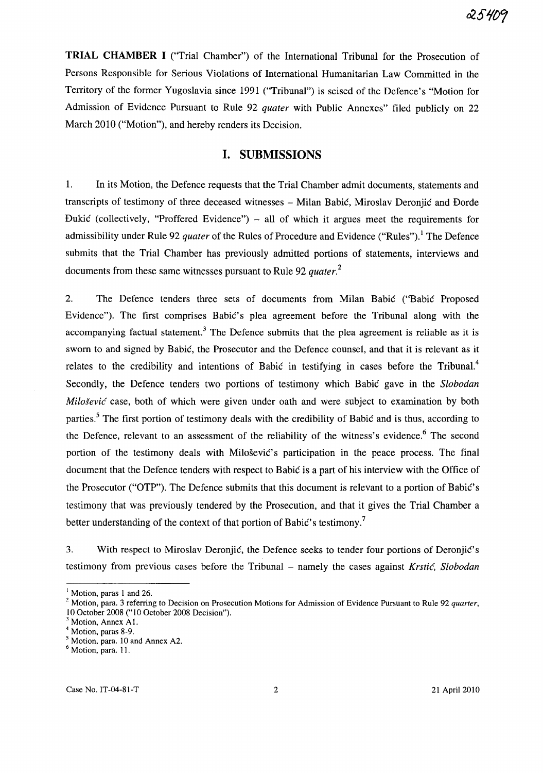**TRIAL CHAMBER I** ("Trial Chamber") of the International Tribunal for the Prosecution of Persons Responsible for Serious Violations of International Humanitarian Law Committed in the Territory of the former Yugoslavia since 1991 ("Tribunal") is seised of the Defence's "Motion for Admission of Evidence Pursuant to Rule 92 *quater* with Public Annexes" filed publicly on 22 March 2010 ("Motion"), and hereby renders its Decision.

## **I. SUBMISSIONS**

1. In its Motion, the Defence requests that the Trial Chamber admit documents, statements and transcripts of testimony of three deceased witnesses - Milan Babic, Miroslav Deronjic and Dorde Dukić (collectively, "Proffered Evidence") – all of which it argues meet the requirements for admissibility under Rule 92 *quater* of the Rules of Procedure and Evidence ("Rules").<sup>1</sup> The Defence submits that the Trial Chamber has previously admitted portions of statements, interviews and documents from these same witnesses pursuant to Rule 92 *quater.<sup>2</sup>*

2. The Defence tenders three sets of documents from Milan Babic ("Babic Proposed Evidence"). The first comprises Babic's plea agreement before the Tribunal along with the accompanying factual statement.<sup>3</sup> The Defence submits that the plea agreement is reliable as it is sworn to and signed by Babic, the Prosecutor and the Defence counsel, and that it is relevant as it relates to the credibility and intentions of Babic in testifying in cases before the Tribunal.<sup>4</sup> Secondly, the Defence tenders two portions of testimony which Babic gave in the *Slobodan*   $Miloševic'$  case, both of which were given under oath and were subject to examination by both parties.<sup>5</sup> The first portion of testimony deals with the credibility of Babic and is thus, according to the Defence, relevant to an assessment of the reliability of the witness's evidence.<sup>6</sup> The second portion of the testimony deals with Milosevic's participation in the peace process. The final document that the Defence tenders with respect to Babic is a part of his interview with the Office of the Prosecutor ("OTP"). The Defence submits that this document is relevant to a portion of Babic' s testimony that was previously tendered by the Prosecution, and that it gives the Trial Chamber a better understanding of the context of that portion of Babić's testimony.<sup>7</sup>

3. With respect to Miroslav Deronjic, the Defence seeks to tender four portions of Deronjic's testimony from previous cases before the Tribunal - namely the cases against *Krstić*, *Slobodan* 

 $<sup>1</sup>$  Motion, paras 1 and 26.</sup>

<sup>2</sup> Motion, para. 3 referring to Decision on Prosecution Motions for Admission of Evidence Pursuant to Rule 92 *quarter,*  10 October 2008 ("10 October 2008 Decision").

 $<sup>3</sup>$  Motion, Annex A1.</sup>

<sup>4</sup> Motion, paras 8-9.

<sup>5</sup> Motion, para. 10 and Annex A2.

 $<sup>6</sup>$  Motion, para. 11.</sup>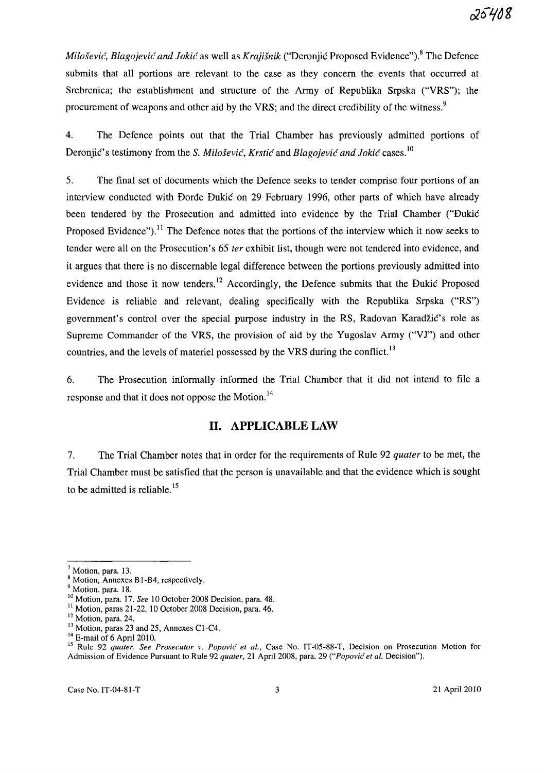*Milošević, Blagojević and Jokić* as well as *Krajišnik* ("Deronjić Proposed Evidence").<sup>8</sup> The Defence submits that all portions are relevant to the case as they concern the events that occurred at Srebrenica; the establishment and structure of the Army of Republika Srpska ("VRS"); the procurement of weapons and other aid by the VRS; and the direct credibility of the witness.<sup>9</sup>

4. The Defence points out that the Trial Chamber has previously admitted portions of Deronjic's testimony from the S. *Milosevic, Krstic* and *Blagojevic and ]okic* cases. <sup>10</sup>

5. The final set of documents which the Defence seeks to tender comprise four portions of an interview conducted with Dorde Dukic on 29 February 1996, other parts of which have already been tendered by the Prosecution and admitted into evidence by the Trial Chamber ("Dukic Proposed Evidence").<sup>11</sup> The Defence notes that the portions of the interview which it now seeks to tender were all on the Prosecution's 65 *ter* exhibit list, though were not tendered into evidence, and it argues that there is no discernable legal difference between the portions previously admitted into evidence and those it now tenders.<sup>12</sup> Accordingly, the Defence submits that the Dukić Proposed Evidence is reliable and relevant, dealing specifically with the Republika Srpska ("RS") government's control over the special purpose industry in the RS, Radovan Karadzic's role as Supreme Commander of the VRS, the provision of aid by the Yugoslav Army ("VJ") and other countries, and the levels of materiel possessed by the VRS during the conflict.<sup>13</sup>

6. The Prosecution informally informed the Trial Chamber that it did not intend to file a response and that it does not oppose the Motion.<sup>14</sup>

# **11. APPLICABLE LAW**

7. The Trial Chamber notes that in order for the requirements of Rule 92 *quater* to be met, the Trial Chamber must be satisfied that the person is unavailable and that the evidence which is sought to be admitted is reliable.<sup>15</sup>

<sup>7</sup> Motion, para. 13.

<sup>&</sup>lt;sup>8</sup> Motion, Annexes B1-B4, respectively.

<sup>&</sup>lt;sup>9</sup> Motion, para. 18.

<sup>10</sup> Motion, para. 17. *See* 10 October 2008 Decision, para. 48.

 $11$  Motion, paras 21-22. 10 October 2008 Decision, para. 46.

<sup>&</sup>lt;sup>12</sup> Motion, para. 24.

<sup>&</sup>lt;sup>13</sup> Motion, paras 23 and 25, Annexes C1-C4.

 $14$  E-mail of 6 April 2010.

<sup>&</sup>lt;sup>15</sup> Rule 92 *quater. See Prosecutor v. Popović et al.*, Case No. IT-05-88-T, Decision on Prosecution Motion for Admission of Evidence Pursuant to Rule 92 *quater,* 21 April 2008, para. 29 *("Popovic et al.* Decision").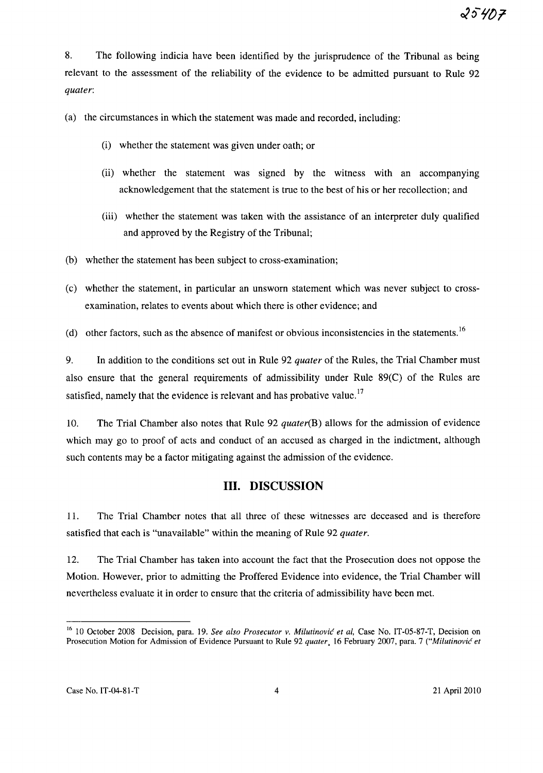8. The following indicia have been identified by the jurisprudence of the Tribunal as being relevant to the assessment of the reliability of the evidence to be admitted pursuant to Rule 92 *quater:* 

(a) the circumstances in which the statement was made and recorded, including:

- (i) whether the statement was given under oath; or
- (ii) whether the statement was signed by the witness with an accompanying acknowledgement that the statement is true to the best of his or her recollection; and
- (iii) whether the statement was taken with the assistance of an interpreter duly qualified and approved by the Registry of the Tribunal;
- (b) whether the statement has been subject to cross-examination;
- (c) whether the statement, in particular an unsworn statement which was never subject to crossexamination, relates to events about which there is other evidence; and
- (d) other factors, such as the absence of manifest or obvious inconsistencies in the statements.<sup>16</sup>

9. In addition to the conditions set out in Rule 92 *quater* of the Rules, the Trial Chamber must also ensure that the general requirements of admissibility under Rule 89(C) of the Rules are satisfied, namely that the evidence is relevant and has probative value.<sup>17</sup>

10. The Trial Chamber also notes that Rule 92 *quater(B)* allows for the admission of evidence which may go to proof of acts and conduct of an accused as charged in the indictment, although such contents may be a factor mitigating against the admission of the evidence.

# **Ill. DISCUSSION**

11. The Trial Chamber notes that all three of these witnesses are deceased and is therefore satisfied that each is "unavailable" within the meaning of Rule 92 *quater.* 

12. The Trial Chamber has taken into account the fact that the Prosecution does not oppose the Motion. However, prior to admitting the Proffered Evidence into evidence, the Trial Chamber will nevertheless evaluate it in order to ensure that the criteria of admissibility have been met.

<sup>16 10</sup> October 2008 Decision, para. 19. *See also Prosecutor v. Milutinovic et ai,* Case No. IT-05-87-T, Decision on Prosecution Motion for Admission of Evidence Pursuant to Rule 92 *quater.* 16 February 2007, para. 7 *("Milutinovic et*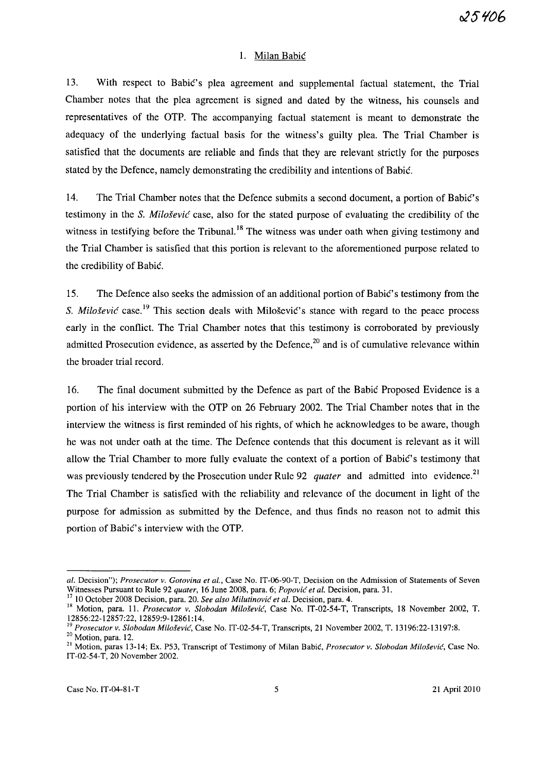#### 1. Milan Babic

13. With respect to Babic's plea agreement and supplemental factual statement, the Trial Chamber notes that the plea agreement is signed and dated by the witness, his counsels and representatives of the OTP. The accompanying factual statement is meant to demonstrate the adequacy of the underlying factual basis for the witness's guilty plea. The Trial Chamber is satisfied that the documents are reliable and finds that they are relevant strictly for the purposes stated by the Defence, namely demonstrating the credibility and intentions of Babic.

14. The Trial Chamber notes that the Defence submits a second document, a portion of Babic's testimony in the S. *Milosevic* case, also for the stated purpose of evaluating the credibility of the witness in testifying before the Tribunal.<sup>18</sup> The witness was under oath when giving testimony and the Trial Chamber is satisfied that this portion is relevant to the aforementioned purpose related to the credibility of Babic.

15. The Defence also seeks the admission of an additional portion of Babic' s testimony from the S. *Milošević* case.<sup>19</sup> This section deals with Milošević's stance with regard to the peace process early in the conflict. The Trial Chamber notes that this testimony is corroborated by previously admitted Prosecution evidence, as asserted by the Defence,<sup>20</sup> and is of cumulative relevance within the broader trial record.

16. The final document submitted by the Defence as part of the Babic Proposed Evidence is a portion of his interview with the OTP on 26 February 2002. The Trial Chamber notes that in the interview the witness is first reminded of his rights, of which he acknowledges to be aware, though he was not under oath at the time. The Defence contends that this document is relevant as it will allow the Trial Chamber to more fully evaluate the context of a portion of Babic's testimony that was previously tendered by the Prosecution under Rule 92 *quater* and admitted into evidence.<sup>21</sup> The Trial Chamber is satisfied with the reliability and relevance of the document in light of the purpose for admission as submitted by the Defence, and thus finds no reason not to admit this portion of Babic's interview with the OTP.

*al.* Decision"); *Prosecutor v. Gotovina et al.,* Case No. IT-06-90-T, Decision on the Admission of Statements of Seven Witnesses Pursuant to Rule 92 *quater,* 16 June 2008, para. 6; *Popovic et al.* Decision, para. 31.

<sup>17 10</sup> October 2008 Decision, para. 20. *See also Milutinovic et al.* Decision, para. 4.

<sup>18</sup> Motion, para. 11. *Prosecutor v. Slobodan Milosevic,* Case No. IT-02-54-T, Transcripts, 18 November 2002, T. 12856:22-12857:22, 12859:9-12861: 14.

<sup>19</sup>*Prosecutor v. Slobodan Milosevic,* Case No. IT-02-54-T, Transcripts, 21 November 2002, T. 13196:22-13197:8.

<sup>&</sup>lt;sup>20</sup> Motion, para. 12.

<sup>21</sup> Motion, paras 13-14; Ex. P53, Transcript of Testimony of Milan Babic, *Prosecutor v. Slobodan Milosevic,* Case No. IT-02-54-T, 20 November 2002.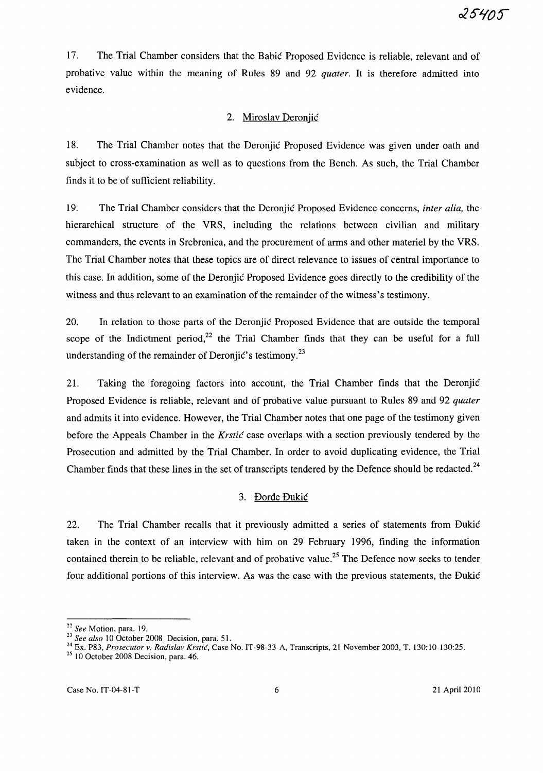17. The Trial Chamber considers that the Babic Proposed Evidence is reliable, relevant and of probative value within the meaning of Rules 89 and 92 *quater.* It is therefore admitted into evidence.

## 2. Miroslav Deroniic

18. The Trial Chamber notes that the Deronjic Proposed Evidence was given under oath and subject to cross-examination as well as to questions from the Bench. As such, the Trial Chamber finds it to be of sufficient reliability.

19. The Trial Chamber considers that the Deronjic Proposed Evidence concerns, *inter alia,* the hierarchical structure of the VRS, including the relations between civilian and military commanders, the events in Srebrenica, and the procurement of arms and other materiel by the YRS. The Trial Chamber notes that these topics are of direct relevance to issues of central importance to this case. In addition, some of the Deronjic Proposed Evidence goes directly to the credibility of the witness and thus relevant to an examination of the remainder of the witness's testimony.

20. In relation to those parts of the Deronjic Proposed Evidence that are outside the temporal scope of the Indictment period, $2^2$  the Trial Chamber finds that they can be useful for a full understanding of the remainder of Deronjic's testimony.<sup>23</sup>

21. Taking the foregoing factors into account, the Trial Chamber finds that the Deronjic Proposed Evidence is reliable, relevant and of probative value pursuant to Rules 89 and 92 *quater*  and admits it into evidence. However, the Trial Chamber notes that one page of the testimony given before the Appeals Chamber in the *Krstic* case overlaps with a section previously tendered by the Prosecution and admitted by the Trial Chamber. In order to avoid duplicating evidence, the Trial Chamber finds that these lines in the set of transcripts tendered by the Defence should be redacted.<sup>24</sup>

## 3. Dorde Dukic

22. The Trial Chamber recalls that it previously admitted a series of statements from Dukic taken in the context of an interview with him on 29 February 1996, finding the information contained therein to be reliable, relevant and of probative value.<sup>25</sup> The Defence now seeks to tender four additional portions of this interview. As was the case with the previous statements, the Dukic

<sup>22</sup>*See* Motion, para. 19.

*<sup>23</sup> See also* 10 October 200S Decision, para. 51.

<sup>24</sup> Ex. P83, *Prosecutor v. Radislav Krstic,* Case No. IT-98-33-A, Transcripts, 21 November 2003, T. 130:10-130:25.

 $2510$  October 2008 Decision, para. 46.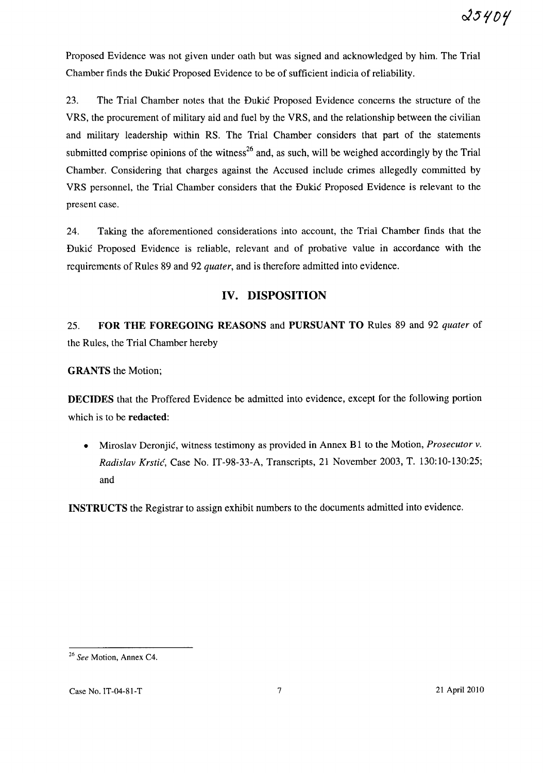Proposed Evidence was not given under oath but was signed and acknowledged by him. The Trial Chamber finds the Dukic Proposed Evidence to be of sufficient indicia of reliability.

23. The Trial Chamber notes that the Dukic Proposed Evidence concerns the structure of the VRS, the procurement of military aid and fuel by the VRS, and the relationship between the civilian and military leadership within RS. The Trial Chamber considers that part of the statements submitted comprise opinions of the witness<sup>26</sup> and, as such, will be weighed accordingly by the Trial Chamber. Considering that charges against the Accused include crimes allegedly committed by VRS personnel, the Trial Chamber considers that the Dukic Proposed Evidence is relevant to the present case.

24. Taking the aforementioned considerations into account, the Trial Chamber finds that the Dukic Proposed Evidence is reliable, relevant and of probative value in accordance with the requirements of Rules 89 and 92 *quater,* and is therefore admitted into evidence.

# **IV. DISPOSITION**

25. **FOR THE FOREGOING REASONS** and **PURSUANT TO** Rules 89 and 92 *quater* of the Rules, the Trial Chamber hereby

**GRANTS** the Motion;

**DECIDES** that the Proffered Evidence be admitted into evidence, except for the following portion which is to be **redacted:** 

• Miroslav Deronjic, witness testimony as provided in Annex B 1 to the Motion, *Prosecutor* v. *Radislav Krstic,* Case No. **IT** -98-33-A, Transcripts, 21 November 2003, T. 130: 10-130:25; and

**INSTRUCTS** the Registrar to assign exhibit numbers to the documents admitted into evidence.

*<sup>26</sup> See* Motion, Annex C4.